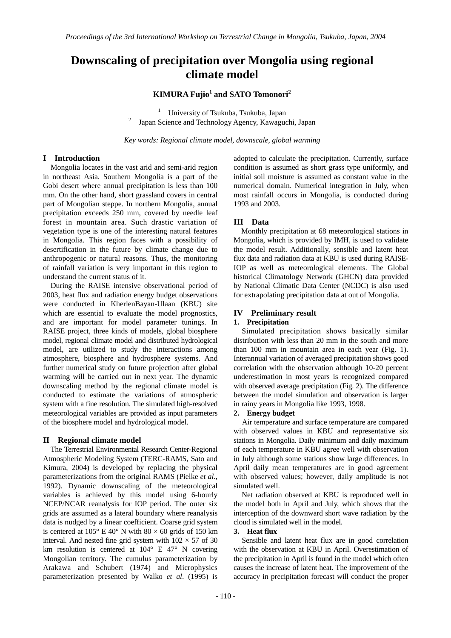# **Downscaling of precipitation over Mongolia using regional climate model**

**KIMURA Fujio<sup>1</sup> and SATO Tomonori2**

<sup>1</sup> University of Tsukuba, Tsukuba, Japan<br><sup>2</sup> Ispan Sajango and Tsahnology Agency Kowagya <sup>2</sup> Japan Science and Technology Agency, Kawaguchi, Japan

*Key words: Regional climate model, downscale, global warming* 

### **I Introduction**

Mongolia locates in the vast arid and semi-arid region in northeast Asia. Southern Mongolia is a part of the Gobi desert where annual precipitation is less than 100 mm. On the other hand, short grassland covers in central part of Mongolian steppe. In northern Mongolia, annual precipitation exceeds 250 mm, covered by needle leaf forest in mountain area. Such drastic variation of vegetation type is one of the interesting natural features in Mongolia. This region faces with a possibility of desertification in the future by climate change due to anthropogenic or natural reasons. Thus, the monitoring of rainfall variation is very important in this region to understand the current status of it.

During the RAISE intensive observational period of 2003, heat flux and radiation energy budget observations were conducted in KherlenBayan-Ulaan (KBU) site which are essential to evaluate the model prognostics, and are important for model parameter tunings. In RAISE project, three kinds of models, global biosphere model, regional climate model and distributed hydrological model, are utilized to study the interactions among atmosphere, biosphere and hydrosphere systems. And further numerical study on future projection after global warming will be carried out in next year. The dynamic downscaling method by the regional climate model is conducted to estimate the variations of atmospheric system with a fine resolution. The simulated high-resolved meteorological variables are provided as input parameters of the biosphere model and hydrological model.

# **II Regional climate model**

 The Terrestrial Environmental Research Center-Regional Atmospheric Modeling System (TERC-RAMS, Sato and Kimura, 2004) is developed by replacing the physical parameterizations from the original RAMS (Pielke *et al*., 1992). Dynamic downscaling of the meteorological variables is achieved by this model using 6-hourly NCEP/NCAR reanalysis for IOP period. The outer six grids are assumed as a lateral boundary where reanalysis data is nudged by a linear coefficient. Coarse grid system is centered at  $105^{\circ}$  E 40° N with 80  $\times$  60 grids of 150 km interval. And nested fine grid system with  $102 \times 57$  of 30 km resolution is centered at 104° E 47° N covering Mongolian territory. The cumulus parameterization by Arakawa and Schubert (1974) and Microphysics parameterization presented by Walko *et al*. (1995) is

adopted to calculate the precipitation. Currently, surface condition is assumed as short grass type uniformly, and initial soil moisture is assumed as constant value in the numerical domain. Numerical integration in July, when most rainfall occurs in Mongolia, is conducted during 1993 and 2003.

# **III Data**

 Monthly precipitation at 68 meteorological stations in Mongolia, which is provided by IMH, is used to validate the model result. Additionally, sensible and latent heat flux data and radiation data at KBU is used during RAISE-IOP as well as meteorological elements. The Global historical Climatology Network (GHCN) data provided by National Climatic Data Center (NCDC) is also used for extrapolating precipitation data at out of Mongolia.

# **IV Preliminary result**

#### **1. Precipitation**

Simulated precipitation shows basically similar distribution with less than 20 mm in the south and more than 100 mm in mountain area in each year (Fig. 1). Interannual variation of averaged precipitation shows good correlation with the observation although 10-20 percent underestimation in most years is recognized compared with observed average precipitation (Fig. 2). The difference between the model simulation and observation is larger in rainy years in Mongolia like 1993, 1998.

#### **2. Energy budget**

Air temperature and surface temperature are compared with observed values in KBU and representative six stations in Mongolia. Daily minimum and daily maximum of each temperature in KBU agree well with observation in July although some stations show large differences. In April daily mean temperatures are in good agreement with observed values; however, daily amplitude is not simulated well.

Net radiation observed at KBU is reproduced well in the model both in April and July, which shows that the interception of the downward short wave radiation by the cloud is simulated well in the model.

#### **3. Heat flux**

Sensible and latent heat flux are in good correlation with the observation at KBU in April. Overestimation of the precipitation in April is found in the model which often causes the increase of latent heat. The improvement of the accuracy in precipitation forecast will conduct the proper